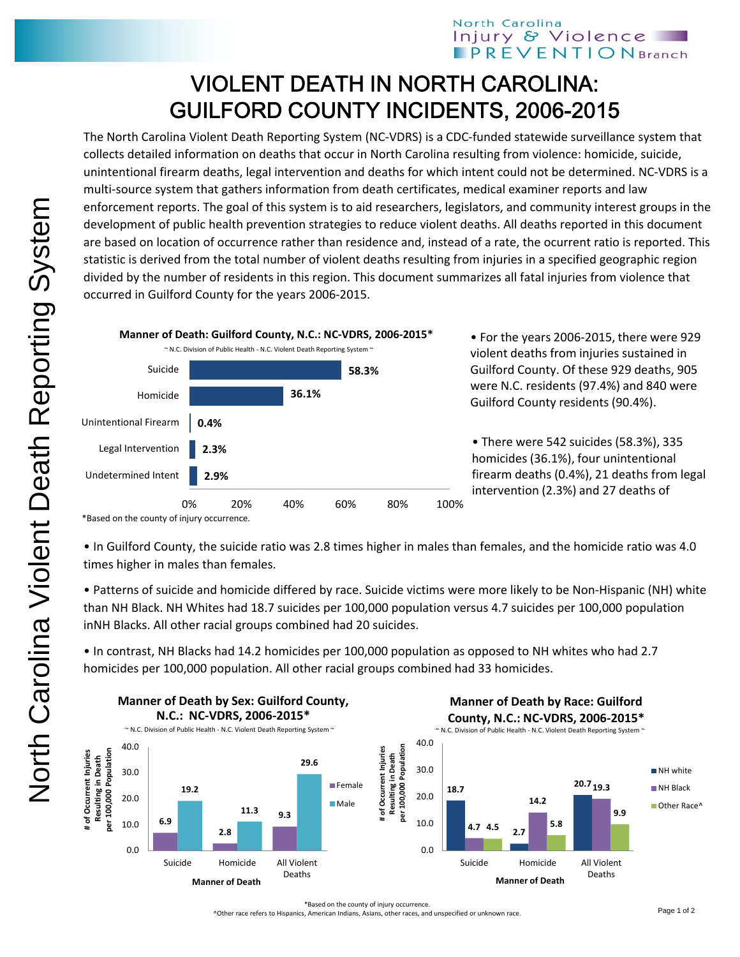## North Carolina Injury & Violence **PREVENTIONBranch**

## VIOLENT DEATH IN NORTH CAROLINA: GUILFORD COUNTY INCIDENTS, 2006-2015

The North Carolina Violent Death Reporting System (NC‐VDRS) is a CDC‐funded statewide surveillance system that collects detailed information on deaths that occur in North Carolina resulting from violence: homicide, suicide, unintentional firearm deaths, legal intervention and deaths for which intent could not be determined. NC‐VDRS is a multi-source system that gathers information from death certificates, medical examiner reports and law enforcement reports. The goal of this system is to aid researchers, legislators, and community interest groups in the development of public health prevention strategies to reduce violent deaths. All deaths reported in this document are based on location of occurrence rather than residence and, instead of a rate, the ocurrent ratio is reported. This statistic is derived from the total number of violent deaths resulting from injuries in a specified geographic region divided by the number of residents in this region. This document summarizes all fatal injuries from violence that occurred in Guilford County for the years 2006‐2015.



• For the years 2006‐2015, there were 929 violent deaths from injuries sustained in Guilford County. Of these 929 deaths, 905 were N.C. residents (97.4%) and 840 were Guilford County residents (90.4%).

• There were 542 suicides (58.3%), 335 homicides (36.1%), four unintentional firearm deaths (0.4%), 21 deaths from legal intervention (2.3%) and 27 deaths of

• In Guilford County, the suicide ratio was 2.8 times higher in males than females, and the homicide ratio was 4.0 times higher in males than females.

• Patterns of suicide and homicide differed by race. Suicide victims were more likely to be Non‐Hispanic (NH) white than NH Black. NH Whites had 18.7 suicides per 100,000 population versus 4.7 suicides per 100,000 population inNH Blacks. All other racial groups combined had 20 suicides.

• In contrast, NH Blacks had 14.2 homicides per 100,000 population as opposed to NH whites who had 2.7 homicides per 100,000 population. All other racial groups combined had 33 homicides.



^Other race refers to Hispanics, American Indians, Asians, other races, and unspecified or unknown race.

<sup>\*</sup>Based on the county of injury occurrence.